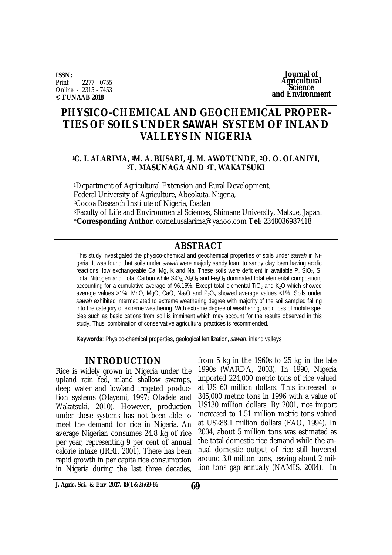**ISSN:** Print - 2277 - 0755 Online - 2315 - 7453 **© FUNAAB 2018**

**Journal of Agricultural Science and Environment**

# **PHYSICO-CHEMICAL AND GEOCHEMICAL PROPER-TIES OF SOILS UNDER** *SAWAH* **SYSTEM OF INLAND VALLEYS IN NIGERIA**

### **<sup>1</sup>C. I. ALARIMA, 1M. A. BUSARI, 1J. M. AWOTUNDE, 2O. O. OLANIYI, <sup>3</sup>T. MASUNAGA AND 3T. WAKATSUKI**

<sup>1</sup>Department of Agricultural Extension and Rural Development, Federal University of Agriculture, Abeokuta, Nigeria, <sup>2</sup>Cocoa Research Institute of Nigeria, Ibadan <sup>3</sup>Faculty of Life and Environmental Sciences, Shimane University, Matsue, Japan. \***Corresponding Author**: [corneliusalarima@yahoo.com](mailto:corneliusalarima@yahoo.com) **Tel**: 2348036987418

### **ABSTRACT**

This study investigated the physico-chemical and geochemical properties of soils under *sawah* in Nigeria. It was found that soils under *sawah* were majorly sandy loam to sandy clay loam having acidic reactions, low exchangeable Ca, Mg, K and Na. These soils were deficient in available P, SiO<sub>2</sub>, S, Total Nitrogen and Total Carbon while  $SiO<sub>2</sub>$ , Al<sub>2</sub>O<sub>3</sub> and Fe<sub>2</sub>O<sub>3</sub> dominated total elemental composition, accounting for a cumulative average of 96.16%. Except total elemental TiO<sub>2</sub> and K<sub>2</sub>O which showed average values >1%, MnO, MgO, CaO, Na<sub>2</sub>O and P<sub>2</sub>O<sub>5</sub> showed average values <1%. Soils under *sawah* exhibited intermediated to extreme weathering degree with majority of the soil sampled falling into the category of extreme weathering. With extreme degree of weathering, rapid loss of mobile species such as basic cations from soil is imminent which may account for the results observed in this study. Thus, combination of conservative agricultural practices is recommended.

**Keywords**: Physico-chemical properties, geological fertilization, *sawah*, inland valleys

### **INTRODUCTION**

Rice is widely grown in Nigeria under the upland rain fed, inland shallow swamps, deep water and lowland irrigated production systems (Olayemi, 1997; Oladele and Wakatsuki, 2010). However, production under these systems has not been able to meet the demand for rice in Nigeria. An average Nigerian consumes 24.8 kg of rice per year, representing 9 per cent of annual calorie intake (IRRI, 2001). There has been rapid growth in per capita rice consumption in Nigeria during the last three decades,

from 5 kg in the 1960s to 25 kg in the late 1990s (WARDA, 2003). In 1990, Nigeria imported 224,000 metric tons of rice valued at US 60 million dollars. This increased to 345,000 metric tons in 1996 with a value of US130 million dollars. By 2001, rice import increased to 1.51 million metric tons valued at US288.1 million dollars (FAO, 1994). In 2004, about 5 million tons was estimated as the total domestic rice demand while the annual domestic output of rice still hovered around 3.0 million tons, leaving about 2 million tons gap annually (NAMIS, 2004). In

**J. Agric. Sci. & Env. 2017, 18(1 &2):69-86 69**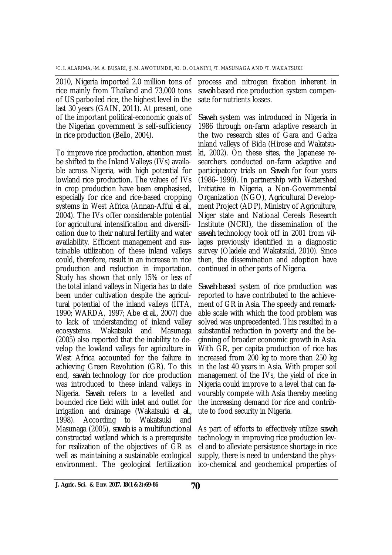2010, Nigeria imported 2.0 million tons of rice mainly from Thailand and 73,000 tons of US parboiled rice, the highest level in the last 30 years (GAIN, 2011). At present, one of the important political-economic goals of the Nigerian government is self-sufficiency in rice production (Bello, 2004).

To improve rice production, attention must be shifted to the Inland Valleys (IVs) available across Nigeria, with high potential for lowland rice production. The values of IVs in crop production have been emphasised, especially for rice and rice-based cropping systems in West Africa (Annan-Afful *et al.,* 2004). The IVs offer considerable potential for agricultural intensification and diversification due to their natural fertility and water availability. Efficient management and sustainable utilization of these inland valleys could, therefore, result in an increase in rice production and reduction in importation. Study has shown that only 15% or less of the total inland valleys in Nigeria has to date been under cultivation despite the agricultural potential of the inland valleys (IITA, 1990; WARDA, 1997; Abe *et al.,* 2007) due to lack of understanding of inland valley ecosystems. Wakatsuki and Masunaga (2005) also reported that the inability to develop the lowland valleys for agriculture in West Africa accounted for the failure in achieving Green Revolution (GR). To this end, *sawah* technology for rice production was introduced to these inland valleys in Nigeria. *Sawah* refers to a levelled and bounded rice field with inlet and outlet for irrigation and drainage (Wakatsuki *et al.,* 1998). According to Wakatsuki and Masunaga (2005), *sawah* is a multifunctional constructed wetland which is a prerequisite for realization of the objectives of GR as well as maintaining a sustainable ecological environment. The geological fertilization

process and nitrogen fixation inherent in *sawah* based rice production system compensate for nutrients losses.

*Sawah* system was introduced in Nigeria in 1986 through on-farm adaptive research in the two research sites of Gara and Gadza inland valleys of Bida (Hirose and Wakatsuki, 2002). On these sites, the Japanese researchers conducted on-farm adaptive and participatory trials on *Sawah* for four years (1986–1990). In partnership with Watershed Initiative in Nigeria, a Non-Governmental Organization (NGO), Agricultural Development Project (ADP), Ministry of Agriculture, Niger state and National Cereals Research Institute (NCRI), the dissemination of the *sawah* technology took off in 2001 from villages previously identified in a diagnostic survey (Oladele and Wakatsuki, 2010). Since then, the dissemination and adoption have continued in other parts of Nigeria.

*Sawah*-based system of rice production was reported to have contributed to the achievement of GR in Asia. The speedy and remarkable scale with which the food problem was solved was unprecedented. This resulted in a substantial reduction in poverty and the beginning of broader economic growth in Asia. With GR, per capita production of rice has increased from 200 kg to more than 250 kg in the last 40 years in Asia. With proper soil management of the IVs, the yield of rice in Nigeria could improve to a level that can favourably compete with Asia thereby meeting the increasing demand for rice and contribute to food security in Nigeria.

As part of efforts to effectively utilize *sawah* technology in improving rice production level and to alleviate persistence shortage in rice supply, there is need to understand the physico-chemical and geochemical properties of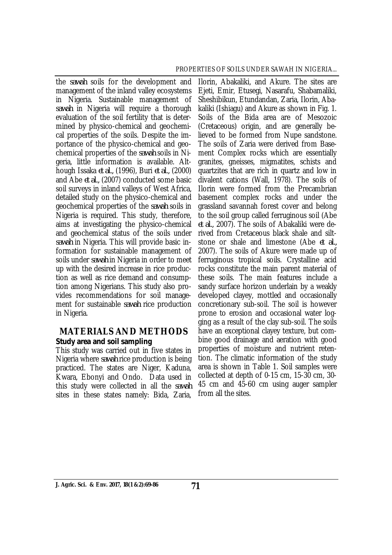the *sawah* soils for the development and management of the inland valley ecosystems in Nigeria. Sustainable management of *sawah* in Nigeria will require a thorough evaluation of the soil fertility that is determined by physico-chemical and geochemical properties of the soils. Despite the importance of the physico-chemical and geochemical properties of the *sawah* soils in Nigeria, little information is available. Although Issaka *et al.,* (1996), Buri *et al.,* (2000) and Abe *et al.,* (2007) conducted some basic soil surveys in inland valleys of West Africa, detailed study on the physico-chemical and geochemical properties of the *sawah* soils in Nigeria is required. This study, therefore, aims at investigating the physico-chemical and geochemical status of the soils under *sawah* in Nigeria. This will provide basic information for sustainable management of soils under *sawah* in Nigeria in order to meet up with the desired increase in rice production as well as rice demand and consumption among Nigerians. This study also provides recommendations for soil management for sustainable *sawah* rice production in Nigeria.

### **MATERIALS AND METHODS** *Study area and soil sampling*

This study was carried out in five states in Nigeria where *sawah* rice production is being practiced. The states are Niger, Kaduna, Kwara, Ebonyi and Ondo. Data used in this study were collected in all the *sawah* sites in these states namely: Bida, Zaria,

Ilorin, Abakaliki, and Akure. The sites are Ejeti, Emir, Etusegi, Nasarafu, Shabamaliki, Sheshibikun, Etundandan, Zaria, Ilorin, Abakaliki (Ishiagu) and Akure as shown in Fig. 1. Soils of the Bida area are of Mesozoic (Cretaceous) origin, and are generally believed to be formed from Nupe sandstone. The soils of Zaria were derived from Basement Complex rocks which are essentially granites, gneisses, migmatites, schists and quartzites that are rich in quartz and low in divalent cations (Wall, 1978). The soils of Ilorin were formed from the Precambrian basement complex rocks and under the grassland savannah forest cover and belong to the soil group called ferruginous soil (Abe *et al.,* 2007). The soils of Abakaliki were derived from Cretaceous black shale and siltstone or shale and limestone (Abe *et al.,* 2007). The soils of Akure were made up of ferruginous tropical soils. Crystalline acid rocks constitute the main parent material of these soils. The main features include a sandy surface horizon underlain by a weakly developed clayey, mottled and occasionally concretionary sub-soil. The soil is however prone to erosion and occasional water logging as a result of the clay sub-soil. The soils have an exceptional clayey texture, but combine good drainage and aeration with good properties of moisture and nutrient retention. The climatic information of the study area is shown in Table 1. Soil samples were collected at depth of 0-15 cm, 15-30 cm, 30- 45 cm and 45-60 cm using auger sampler from all the sites.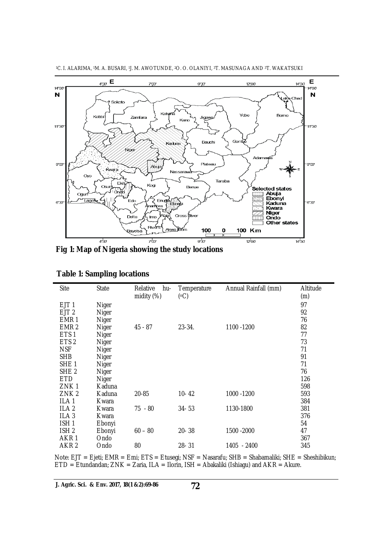

<sup>1</sup>C. I. ALARIMA, 1M. A. BUSARI, 1J. M. AWOTUNDE, 2O. O. OLANIYI, 3T. MASUNAGA AND 3T. WAKATSUKI

**Fig 1: Map of Nigeria showing the study locations**

| Site             | <b>State</b> | Relative<br>hu-<br>midity (%) | Temperature<br>(°C) | Annual Rainfall (mm) | Altitude<br>(m) |
|------------------|--------------|-------------------------------|---------------------|----------------------|-----------------|
| EJT <sub>1</sub> | Niger        |                               |                     |                      | 97              |
| EJT <sub>2</sub> | Niger        |                               |                     |                      | 92              |
| EMR <sub>1</sub> | Niger        |                               |                     |                      | 76              |
| EMR <sub>2</sub> | Niger        | 45 - 87                       | $23 - 34$ .         | 1100 -1200           | 82              |
| ETS <sub>1</sub> | Niger        |                               |                     |                      | 77              |
| ETS <sub>2</sub> | Niger        |                               |                     |                      | 73              |
| <b>NSF</b>       | Niger        |                               |                     |                      | 71              |
| <b>SHB</b>       | Niger        |                               |                     |                      | 91              |
| SHE <sub>1</sub> | Niger        |                               |                     |                      | 71              |
| SHE <sub>2</sub> | Niger        |                               |                     |                      | 76              |
| ETD              | Niger        |                               |                     |                      | 126             |
| ZNK <sub>1</sub> | Kaduna       |                               |                     |                      | 598             |
| ZNK <sub>2</sub> | Kaduna       | 20-85                         | $10 - 42$           | 1000 -1200           | 593             |
| ILA <sub>1</sub> | Kwara        |                               |                     |                      | 384             |
| ILA <sub>2</sub> | Kwara        | 75 - 80                       | $34 - 53$           | 1130-1800            | 381             |
| ILA <sub>3</sub> | Kwara        |                               |                     |                      | 376             |
| ISH <sub>1</sub> | Ebonyi       |                               |                     |                      | 54              |
| ISH <sub>2</sub> | Ebonyi       | $60 - 80$                     | $20 - 38$           | 1500 - 2000          | 47              |
| AKR <sub>1</sub> | Ondo         |                               |                     |                      | 367             |
| AKR <sub>2</sub> | Ondo         | 80                            | 28-31               | 1405 - 2400          | 345             |

Note: EJT = Ejeti; EMR = Emi; ETS = Etusegi; NSF = Nasarafu; SHB = Shabamaliki; SHE = Sheshibikun;  $ETD = Etundandan; ZNK = Zaria, ILA = Ilorin, ISH = Abakaliki (Ishiagu) and AKR = Akure.$ 

**J. Agric. Sci. & Env. 2017, 18(1 &2):69-86**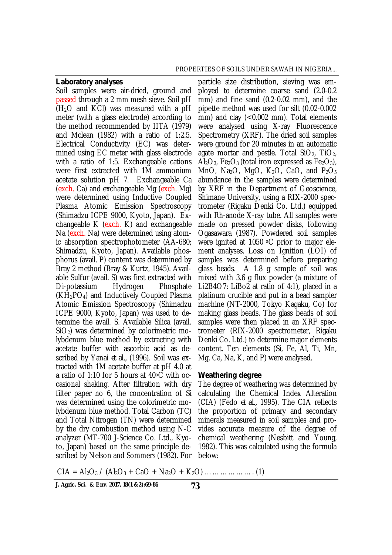#### *Laboratory analyses*

scribed by Nelson and Sommers (1982). For below: Soil samples were air-dried, ground and passed through a 2 mm mesh sieve. Soil pH  $(H<sub>2</sub>O$  and KCI) was measured with a pH meter (with a glass electrode) according to the method recommended by IITA (1979) and Mclean (1982) with a ratio of 1:2.5. Electrical Conductivity (EC) was determined using EC meter with glass electrode with a ratio of 1:5. Exchangeable cations were first extracted with 1M ammonium acetate solution pH 7. Exchangeable Ca (exch. Ca) and exchangeable Mg (exch. Mg) were determined using Inductive Coupled Plasma Atomic Emission Spectroscopy (Shimadzu ICPE 9000, Kyoto, Japan). Exchangeable  $K$  (exch.  $K$ ) and exchangeable Na (exch. Na) were determined using atomic absorption spectrophotometer (AA-680; Shimadzu, Kyoto, Japan). Available phosphorus (avail. P) content was determined by Bray 2 method (Bray & Kurtz, 1945). Available Sulfur (avail. S) was first extracted with Di-potassium Hydrogen Phosphate  $(KH<sub>2</sub>PO<sub>4</sub>)$  and Inductively Coupled Plasma Atomic Emission Spectroscopy (Shimadzu ICPE 9000, Kyoto, Japan) was used to determine the avail. S. Available Silica (avail.  $SiO<sub>2</sub>$ ) was determined by colorimetric molybdenum blue method by extracting with acetate buffer with ascorbic acid as described by Yanai *et al.,* (1996). Soil was extracted with 1M acetate buffer at pH 4.0 at a ratio of 1:10 for 5 hours at 40oC with occasional shaking. After filtration with dry filter paper no 6, the concentration of Si was determined using the colorimetric molybdenum blue method. Total Carbon (TC) and Total Nitrogen (TN) were determined by the dry combustion method using N-C analyzer (MT-700 J-Science Co. Ltd., Kyoto, Japan) based on the same principle de-

particle size distribution, sieving was employed to determine coarse sand (2.0-0.2 mm) and fine sand (0.2-0.02 mm), and the pipette method was used for silt (0.02-0.002 mm) and clay (<0.002 mm). Total elements were analysed using X-ray Fluorescence Spectrometry (XRF). The dried soil samples were ground for 20 minutes in an automatic agate mortar and pestle. Total  $SiO<sub>2</sub>$ , TiO<sub>2</sub>,  $\overline{Al}_2O_3$ , Fe<sub>2</sub>O<sub>3</sub> (total iron expressed as Fe<sub>2</sub>O<sub>3</sub>), MnO, Na<sub>2</sub>O, MgO, K<sub>2</sub>O, CaO, and P<sub>2</sub>O<sub>5</sub> abundance in the samples were determined by XRF in the Department of Geoscience, Shimane University, using a RIX-2000 spectrometer (Rigaku Denki Co. Ltd.) equipped with Rh-anode X-ray tube. All samples were made on pressed powder disks, following Ogasawara (1987). Powdered soil samples were ignited at 1050 <sup>o</sup>C prior to major element analyses. Loss on Ignition (LOI) of samples was determined before preparing glass beads. A 1.8 g sample of soil was mixed with 3.6 g flux powder (a mixture of Li2B4O7: LiBo2 at ratio of 4:1), placed in a platinum crucible and put in a bead sampler machine (NT-2000, Tokyo Kagaku, Co) for making glass beads. The glass beads of soil samples were then placed in an XRF spectrometer (RIX-2000 spectrometer, Rigaku Denki Co. Ltd.) to determine major elements content. Ten elements (Si, Fe, Al, Ti, Mn, Mg, Ca, Na, K, and P) were analysed.

#### *Weathering degree*

The degree of weathering was determined by calculating the Chemical Index Alteration (CIA) (Fedo *et al.,* 1995). The CIA reflects the proportion of primary and secondary minerals measured in soil samples and provides accurate measure of the degree of chemical weathering (Nesbitt and Young, 1982). This was calculated using the formula

CIA = Al2O<sup>3</sup> / (Al2O<sup>3</sup> + CaO + Na2O + K2O) ………………. (1)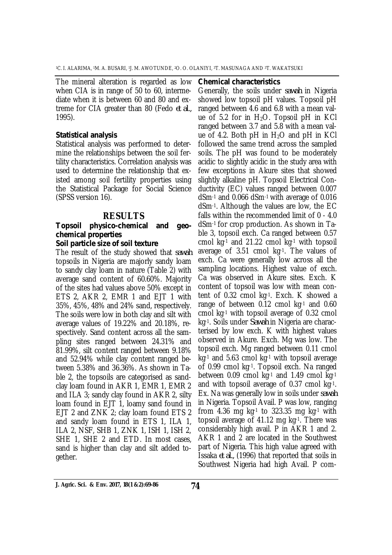The mineral alteration is regarded as low when CIA is in range of 50 to 60, intermediate when it is between 60 and 80 and extreme for CIA greater than 80 (Fedo *et al.,* 1995).

### *Statistical analysis*

Statistical analysis was performed to determine the relationships between the soil fertility characteristics. Correlation analysis was used to determine the relationship that existed among soil fertility properties using the Statistical Package for Social Science (SPSS version 16).

### **RESULTS**

# *Topsoil physico-chemical and geochemical properties*

### *Soil particle size of soil texture*

The result of the study showed that *sawah* topsoils in Nigeria are majorly sandy loam to sandy clay loam in nature (Table 2) with average sand content of 60.60%. Majority of the sites had values above 50% except in ETS 2, AKR 2, EMR 1 and EJT 1 with 35%, 45%, 48% and 24% sand, respectively. The soils were low in both clay and silt with average values of 19.22% and 20.18%, respectively. Sand content across all the sampling sites ranged between 24.31% and 81.99%, silt content ranged between 9.18% and 52.94% while clay content ranged between 5.38% and 36.36%. As shown in Table 2, the topsoils are categorised as sandclay loam found in AKR 1, EMR 1, EMR 2 and ILA 3; sandy clay found in AKR 2, silty loam found in EJT 1, loamy sand found in EJT 2 and ZNK 2; clay loam found ETS 2 and sandy loam found in ETS 1, ILA 1, ILA 2, NSF, SHB 1, ZNK 1, ISH 1, ISH 2, SHE 1, SHE 2 and ETD. In most cases, sand is higher than clay and silt added together.

#### *Chemical characteristics*

Generally, the soils under *sawah* in Nigeria showed low topsoil pH values. Topsoil pH ranged between 4.6 and 6.8 with a mean value of 5.2 for in  $H_2O$ . Topsoil pH in KCl ranged between 3.7 and 5.8 with a mean value of 4.2. Both pH in  $H_2O$  and pH in KCl followed the same trend across the sampled soils. The pH was found to be moderately acidic to slightly acidic in the study area with few exceptions in Akure sites that showed slightly alkaline pH. Topsoil Electrical Conductivity (EC) values ranged between 0.007 dSm-1 and 0.066 dSm-1 with average of 0.016 dSm-1. Although the values are low, the EC falls within the recommended limit of 0 - 4.0 dSm-1 for crop production. As shown in Table 3, topsoil exch. Ca ranged between 0.57 cmol kg-1 and 21.22 cmol kg-1 with topsoil average of 3.51 cmol kg-1. The values of exch. Ca were generally low across all the sampling locations. Highest value of exch. Ca was observed in Akure sites. Exch. K content of topsoil was low with mean content of 0.32 cmol kg-1. Exch. K showed a range of between 0.12 cmol kg-1 and 0.60 cmol kg-1 with topsoil average of 0.32 cmol kg-1. Soils under *Sawah* in Nigeria are characterised by low exch. K with highest values observed in Akure. Exch. Mg was low. The topsoil exch. Mg ranged between 0.11 cmol kg-1 and 5.63 cmol kg-1 with topsoil average of 0.99 cmol kg-1. Topsoil exch. Na ranged between 0.09 cmol kg-1 and 1.49 cmol kg-1 and with topsoil average of 0.37 cmol kg-1. Ex. Na was generally low in soils under *sawah* in Nigeria. Topsoil Avail. P was low, ranging from 4.36 mg kg $-1$  to 323.35 mg kg $-1$  with topsoil average of 41.12 mg kg-1. There was considerably high avail. P in AKR 1 and 2. AKR 1 and 2 are located in the Southwest part of Nigeria. This high value agreed with Issaka *et al.,* (1996) that reported that soils in Southwest Nigeria had high Avail. P com-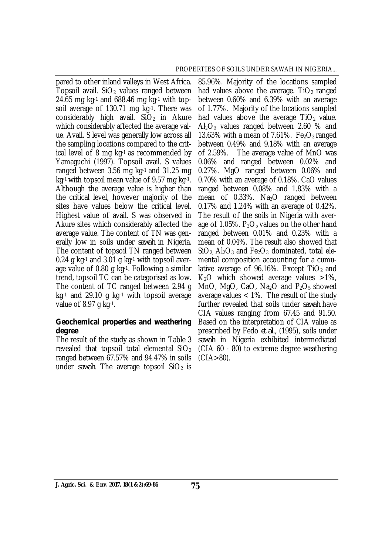pared to other inland valleys in West Africa. Topsoil avail.  $SiO<sub>2</sub>$  values ranged between 24.65 mg kg $^{-1}$  and 688.46 mg kg $^{-1}$  with topsoil average of 130.71 mg kg-1. There was considerably high avail.  $SiO<sub>2</sub>$  in Akure which considerably affected the average value. Avail. S level was generally low across all the sampling locations compared to the critical level of 8 mg kg-1 as recommended by Yamaguchi (1997). Topsoil avail. S values ranged between 3.56 mg kg-1 and 31.25 mg kg-1 with topsoil mean value of 9.57 mg kg-1. Although the average value is higher than the critical level, however majority of the sites have values below the critical level. Highest value of avail. S was observed in Akure sites which considerably affected the average value. The content of TN was generally low in soils under *sawah* in Nigeria. The content of topsoil TN ranged between 0.24 g kg-1 and 3.01 g kg-1 with topsoil average value of 0.80 g kg-1. Following a similar trend, topsoil TC can be categorised as low. The content of TC ranged between 2.94 g kg-1 and 29.10 g kg-1 with topsoil average value of 8.97 g kg-1.

### *Geochemical properties and weathering degree*

The result of the study as shown in Table 3 revealed that topsoil total elemental  $SiO<sub>2</sub>$ ranged between 67.57% and 94.47% in soils under *sawah*. The average topsoil  $SiO<sub>2</sub>$  is

85.96%. Majority of the locations sampled had values above the average.  $TiO<sub>2</sub>$  ranged between 0.60% and 6.39% with an average of 1.77%. Majority of the locations sampled had values above the average  $TiO<sub>2</sub>$  value.  $Al_2O_3$  values ranged between 2.60 % and 13.63% with a mean of 7.61%. Fe<sub>2</sub>O<sub>3</sub> ranged between 0.49% and 9.18% with an average of 2.59%. The average value of MnO was 0.06% and ranged between 0.02% and 0.27%. MgO ranged between 0.06% and 0.70% with an average of 0.18%. CaO values ranged between 0.08% and 1.83% with a mean of 0.33%. Na<sub>2</sub>O ranged between 0.17% and 1.24% with an average of 0.42%. The result of the soils in Nigeria with average of 1.05%.  $P_2O_5$  values on the other hand ranged between 0.01% and 0.23% with a mean of 0.04%. The result also showed that  $SiO<sub>2</sub>$  Al<sub>2</sub>O<sub>3</sub> and Fe<sub>2</sub>O<sub>3</sub> dominated, total elemental composition accounting for a cumulative average of 96.16%. Except  $TiO<sub>2</sub>$  and  $K<sub>2</sub>O$  which showed average values  $>1\%$ , MnO, MgO, CaO, Na<sub>2</sub>O and  $P_2O_5$  showed average values < 1%. The result of the study further revealed that soils under *sawah* have CIA values ranging from 67.45 and 91.50. Based on the interpretation of CIA value as prescribed by Fedo *et al.,* (1995), soils under *sawah* in Nigeria exhibited intermediated (CIA 60 - 80) to extreme degree weathering  $(CIA > 80)$ .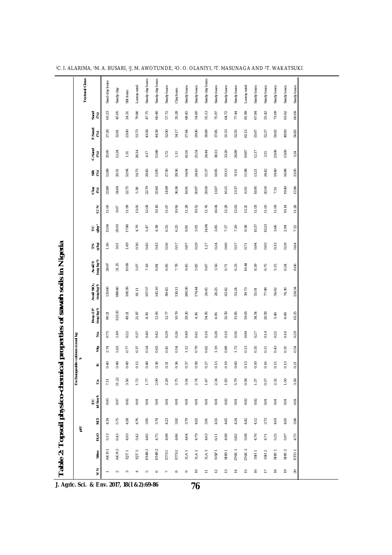| <b>Textural Class</b><br>Sandy clay loam<br>Sandy clay loam<br>Sandy clay loam<br>Sand clay loam<br>Loamy sand<br>Loamy sand<br>Sandy loam<br>Sandy loam<br>Sandy loam<br>Sandy loam<br>Sandy loam<br>Sandy loam<br>Sandy loam<br>Sandy loam<br>Sandy loam<br>Sandy clay<br>Clay loam<br>Silt loam<br>45.05<br>47.75<br>57.72<br>68.45<br>54.60<br>55.13<br>55.42<br>79.86<br>60.46<br>35.28<br>64.72<br>77.44<br>81.99<br>73.09<br>63.23<br>75.97<br>67.84<br>Sand<br>(%)<br>24.31<br>F.Sand<br>(%)<br>27.28<br>23.00<br>53.73<br>43.58<br>44.58<br>52.00<br>34.17<br>27.44<br>29.06<br>30.69<br>37.85<br>31.53<br>52.55<br>62.12<br>50.02<br>55.67<br>52.27<br>32.81 | Sandy loam<br>Sandy loam<br>63.62<br>60.09<br>49.93<br>56.85<br>13.69<br>3.24                                                                                                                                                                                                                                 |
|------------------------------------------------------------------------------------------------------------------------------------------------------------------------------------------------------------------------------------------------------------------------------------------------------------------------------------------------------------------------------------------------------------------------------------------------------------------------------------------------------------------------------------------------------------------------------------------------------------------------------------------------------------------------|---------------------------------------------------------------------------------------------------------------------------------------------------------------------------------------------------------------------------------------------------------------------------------------------------------------|
|                                                                                                                                                                                                                                                                                                                                                                                                                                                                                                                                                                                                                                                                        |                                                                                                                                                                                                                                                                                                               |
|                                                                                                                                                                                                                                                                                                                                                                                                                                                                                                                                                                                                                                                                        |                                                                                                                                                                                                                                                                                                               |
|                                                                                                                                                                                                                                                                                                                                                                                                                                                                                                                                                                                                                                                                        |                                                                                                                                                                                                                                                                                                               |
| C.Sand<br>(%)<br>26.14<br>38.13<br>23.08<br>35.95<br>12.24<br>15.88<br>24.44<br>33.20<br>24.89<br>12.17<br>41.01<br>25.54<br>19.87<br>3.15<br>4.17<br>5.72<br>1.31<br>111                                                                                                                                                                                                                                                                                                                                                                                                                                                                                              |                                                                                                                                                                                                                                                                                                               |
| 14.75<br>29.45<br>24.43<br>10.95<br>19.13<br>24.42<br>19.40<br>12.88<br>13.95<br>27.30<br>28.36<br>14.64<br>11.98<br>52.94<br>15.37<br>20.31<br>13.21<br>9.18<br>5€                                                                                                                                                                                                                                                                                                                                                                                                                                                                                                    |                                                                                                                                                                                                                                                                                                               |
| 16.15<br>20.16<br>23.89<br>22.75<br>22.79<br>25.60<br>14.99<br>36.36<br>29.50<br>18.95<br>34.64<br>20.97<br>13.07<br>13.37<br>5.38<br>16.91<br>6.03<br>7.51                                                                                                                                                                                                                                                                                                                                                                                                                                                                                                            | 19.40<br>15.96                                                                                                                                                                                                                                                                                                |
| 11.99<br>13.06<br>12.08<br>10.18<br>10.96<br>11.28<br>11.76<br>12.28<br>12.63<br>11.00<br>11.09<br>$\zeta$<br>11.06<br>11.67<br>10.52<br>16.04<br>11.03<br>13.21<br>9.67                                                                                                                                                                                                                                                                                                                                                                                                                                                                                               |                                                                                                                                                                                                                                                                                                               |
| 17.86<br>4.70<br>5.47<br>4.38<br>6.55<br>6.25<br>3.05<br>3.85<br>7.20<br>9.38<br>3.66                                                                                                                                                                                                                                                                                                                                                                                                                                                                                                                                                                                  |                                                                                                                                                                                                                                                                                                               |
| 29.10<br>15.04<br>14.94<br>10.37<br>10.23<br>는 흥<br>9.81<br>7.37                                                                                                                                                                                                                                                                                                                                                                                                                                                                                                                                                                                                       |                                                                                                                                                                                                                                                                                                               |
| 로홍<br>1.49<br>0.36<br>0.45<br>0.43<br>56<br>0.29<br>0.60<br>0.93<br>1.36<br>0.24<br>0.94<br>0.33<br>3.01<br>0.57<br>0.87<br>1.27<br>0.57<br>0.71<br>ö                                                                                                                                                                                                                                                                                                                                                                                                                                                                                                                  |                                                                                                                                                                                                                                                                                                               |
| Avail S<br>(mg kg-1)<br>28.67<br>31.25<br>10.88<br>10.44<br>6.75<br>5.15<br>7.18<br>6.95<br>7.78<br>9.45<br>5.85<br>3.56<br>8.39<br>5.07<br>6.33<br>6.84<br>9.87<br>6.71                                                                                                                                                                                                                                                                                                                                                                                                                                                                                               | 8.06<br>6.24                                                                                                                                                                                                                                                                                                  |
| Avail SiO <sub>2</sub><br>(mg kg <sup>-1)</sup><br>135.60<br>688.46<br>145.10<br>260.30<br>106.39<br>130.11<br>107.57<br>174.44<br>24.65<br>81.11<br>89.43<br>28.25<br>63.42<br>53.24<br>39.73<br>77.98<br>54.62<br>55.01                                                                                                                                                                                                                                                                                                                                                                                                                                              | 16.98<br>23.95<br>10.14<br>11.28<br>2.94<br>7.22<br>0.29<br>0.64<br>224.34<br>74.36<br>63.25<br>6.06<br>0.16<br>0.29<br>54<br>0.31<br>ö<br>0.13<br>0.21<br>1.50<br>58<br>5<br>0.01<br>0.01<br>4.05<br>3.96<br>4.75<br>5.97<br>SHE <sub>2</sub><br>ETD <sub>1</sub><br>$\mathsf{P}$<br>$\overline{\mathbf{c}}$ |
| Bray-2 P<br>(mg kg-1)<br>323.35<br>12.96<br>12.77<br>10.79<br>29.26<br>54.95<br>32.59<br>15.85<br>19.03<br>34.54<br>20.58<br>90.21<br>21.87<br>49.21<br>6.95<br>5.46<br>8.30<br>4.36                                                                                                                                                                                                                                                                                                                                                                                                                                                                                   |                                                                                                                                                                                                                                                                                                               |
| 0.49<br>0.16<br>0.75<br>1.49<br>0.22<br>0.37<br>0.40<br>0.42<br>0.29<br>0.26<br>0.16<br>0.28<br>0.56<br>0.09<br>0.14<br>0.22<br>0.41<br>0.27<br>ž                                                                                                                                                                                                                                                                                                                                                                                                                                                                                                                      |                                                                                                                                                                                                                                                                                                               |
| 0.79<br>5.63<br>0.63<br>1.12<br>1.19<br>0.89<br>1.73<br>0.13<br>0.35<br>0.43<br>0.54<br>0.62<br>0.11<br>Σů<br>2.74<br>0.77<br>0.37<br>0.54<br>0.41                                                                                                                                                                                                                                                                                                                                                                                                                                                                                                                     |                                                                                                                                                                                                                                                                                                               |
| ngeable cations (cmol kg·<br>1)<br>0.16<br>0.15<br>0.48<br>0.49<br>0.12<br>0.48<br>0.13<br>0.19<br>0.13<br>0.40<br>0.36<br>0.36<br>0.58<br>0.60<br>S.<br>0.37<br>0.27<br>0.31<br>×<br>Õ                                                                                                                                                                                                                                                                                                                                                                                                                                                                                |                                                                                                                                                                                                                                                                                                               |
| Exchar<br>21.22<br>3.56<br>2.75<br>7.11<br>1.72<br>2.09<br>2.29<br>5.79<br>2.32<br>1.77<br>3.54<br>2.74<br>1.47<br>2.34<br>1.83<br>0.58<br>1.37<br>0.57<br>ී                                                                                                                                                                                                                                                                                                                                                                                                                                                                                                           |                                                                                                                                                                                                                                                                                                               |
| EC<br>(d.Sm <sup>-1</sup> )<br>0.03<br>0.07<br>0.02<br>0.02<br>0.02<br>0.02<br>0.01<br>0.01<br>0.01<br>0.01<br>0.01<br>0.01<br>0.01<br>0.01<br>0.01<br>0.01<br>0.01<br>0.01                                                                                                                                                                                                                                                                                                                                                                                                                                                                                            |                                                                                                                                                                                                                                                                                                               |
| 5.75<br>4.28<br>3.79<br>4.65<br>3.73<br>4.03<br>4.76<br>3.95<br>4.23<br>4.02<br>4.55<br>4.24<br>4.42<br>4.12<br>3.74<br>3.92<br>Č<br>4.34<br>3.91                                                                                                                                                                                                                                                                                                                                                                                                                                                                                                                      |                                                                                                                                                                                                                                                                                                               |
| 玉<br>$\vec{r}$<br>5.42<br>4.85<br>5.25<br>5.13<br>6.43<br>4.93<br>4.75<br>4.98<br>4.86<br>4.64<br>4.79<br>4.98<br>6.82<br>5.08<br>4.76<br>4.63<br>6.11<br>4.71                                                                                                                                                                                                                                                                                                                                                                                                                                                                                                         |                                                                                                                                                                                                                                                                                                               |
| AKR <sub>2</sub><br>ZNK <sub>2</sub><br>EMR <sub>2</sub><br>ZNK1<br>AKR1<br>EMR <sub>1</sub><br>SHE <sub>1</sub><br>NSF <sub>1</sub><br>ISH <sub>2</sub><br>ET <sub>2</sub><br>ETS <sub>2</sub><br>IAA2<br>IAA<br>SHB <sub>1</sub><br>$\frac{1}{10}$<br>ETS <sub>1</sub><br>ILA <sub>1</sub><br>ISH1<br>Sites                                                                                                                                                                                                                                                                                                                                                          |                                                                                                                                                                                                                                                                                                               |
| $\leqslant$<br>$\overline{1}$<br>₽<br>$\approx$<br>$\tilde{c}$<br>$\sharp$<br>۱F<br>$\frac{6}{1}$<br>$\approx$<br>Ξ<br>$\infty$<br>$\circ$<br>3<br>S<br>$\sim$<br>∘                                                                                                                                                                                                                                                                                                                                                                                                                                                                                                    |                                                                                                                                                                                                                                                                                                               |

**J. Agric. Sci. & Env. 2017, 18(1 &2):69-86**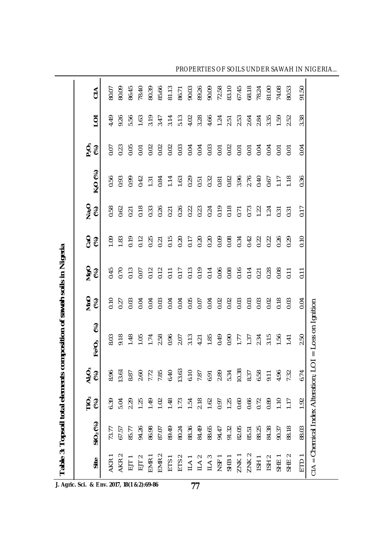|                             | Table 3: Topsoil total elements    |                      |                                              | composition of sawah soils in Nigeria           |                      |                  |                  |                  |                                                |                                                                                                   |                                         |             |
|-----------------------------|------------------------------------|----------------------|----------------------------------------------|-------------------------------------------------|----------------------|------------------|------------------|------------------|------------------------------------------------|---------------------------------------------------------------------------------------------------|-----------------------------------------|-------------|
| Site                        | SIO <sub>2</sub> (%)               | ΓÖ,<br>$\mathcal{E}$ | $\mathbf{A}_2^{\mathbf{C}}$<br>$\mathcal{E}$ | $\mathcal{E}$<br>Fe <sup>2</sup> O <sub>3</sub> | $MnO$<br>$(%)$       | $MgO$<br>$(%)$   | င်း<br>၁၉        | $N_{a_2O}$       | K <sub>2</sub> O (%)                           | $\mathop{\mathsf{D}}\nolimits^{\mathsf{G}}_{\mathsf{c}}\mathop{\mathsf{S}}\nolimits^{\mathsf{G}}$ | $\overline{O}$                          | $rac{4}{5}$ |
| <b>AKR</b>                  | 73.77                              | 6.39                 |                                              | 8.03                                            | 0.10                 | 0.45             | $\overline{5}$   | 0.58             | 0.56                                           |                                                                                                   | 4.49                                    | 80.07       |
| AKR <sub>2</sub>            | 67.57                              | 5.04                 |                                              | 9.18                                            | 0.27                 | 0.70             | 1.83             | 0.62             | 0.93                                           | $0.07$<br>$0.23$                                                                                  | 9.26                                    | 80.09       |
| EJT1                        | 85.77                              | 2.29                 |                                              | 1.48                                            | 0.03                 | 0.13             | 0.19             | 0.21             | 0.99                                           |                                                                                                   | 5.56                                    | 86.45       |
| $EJT$ 2                     | 94.26                              | 1.25                 |                                              | 1.05                                            | 0.04                 |                  |                  | 0.18             |                                                |                                                                                                   | 1,63                                    | 78.40       |
| EMR <sub>1</sub>            | 86.98                              | 1.49                 |                                              | 1.74                                            | 0.04                 |                  | $0.12$<br>$0.25$ | 0.33             | $0.42$<br>1.31                                 |                                                                                                   |                                         | 80.39       |
| EMR <sub>2</sub>            | 87.07                              | 1.02                 |                                              | 2.58                                            | 0.03                 |                  | $0.21$<br>$0.15$ | 0.26             | 0.84                                           |                                                                                                   |                                         | 85.66       |
| ETS1                        | 89.49                              | 1.48                 |                                              |                                                 | 0.04                 |                  |                  |                  |                                                |                                                                                                   |                                         | 81.13       |
|                             | 80.24                              | 1.73                 |                                              |                                                 |                      |                  |                  | $0.21$<br>$0.26$ | 1.14                                           |                                                                                                   |                                         | 86.71       |
|                             | 88.36                              | 1.54                 |                                              |                                                 |                      |                  | 0.20<br>0.17     |                  |                                                |                                                                                                   |                                         | 90.03       |
| $ETS2$ $ILA1$ $ILA2$ $ILA3$ | 84.49                              | 2.18                 |                                              | 0.96<br>2.07<br>4.21<br>1.85                    | 0.05<br>0.05<br>0.07 |                  | 0.20<br>0.20     |                  | $0.29$<br>$0.57$<br>$0.32$<br>$0.82$<br>$0.82$ |                                                                                                   |                                         | 89.26       |
|                             | 88.65                              | 1.62                 |                                              |                                                 |                      |                  |                  |                  |                                                |                                                                                                   |                                         | 90.09       |
| NSF <sub>1</sub>            | 94.47                              | 0.97                 |                                              |                                                 | 0.02                 |                  | 0.09             |                  |                                                |                                                                                                   |                                         | 72.58       |
| SHB1                        | 91.32                              | 1.25                 |                                              | 0.49                                            | 0.02                 |                  | 0.08             |                  |                                                |                                                                                                   |                                         | 83.10       |
| ZNK1                        | 82.05                              | 0.60                 |                                              |                                                 | 0.03                 |                  | 0.34             |                  |                                                |                                                                                                   |                                         | 67.45       |
| <b>ZNK2</b>                 | 85.51                              | 0.66                 |                                              | $1.77$<br>1.37                                  | 0.03                 |                  | 0.42             |                  | 3.96<br>2.76<br>0.40                           |                                                                                                   |                                         | 68.18       |
| ISH1                        | 88.25                              | 0.72                 |                                              |                                                 | 0.03                 |                  | 0.22             |                  |                                                |                                                                                                   |                                         | 78.24       |
| ISH <sub>2</sub>            | 84.38                              | 0.89                 |                                              | 2.34<br>3.15<br>1.56                            | 0.02                 |                  | 0.22<br>0.26     |                  | $0.67$<br>1.17                                 |                                                                                                   | $2.\overline{3}59$<br>$1.\overline{5}9$ | 81.00       |
| SHE <sub>1</sub>            | 90.37                              | 1.10                 |                                              |                                                 | 0.18                 |                  |                  |                  |                                                |                                                                                                   |                                         | 74.08       |
| $\sim$<br><b>SHE</b>        | 88.18                              | $\overline{117}$     |                                              | 1.41                                            | 0.03                 | $\overline{0}$ . | 0.29             |                  | 1.18                                           | $\overline{5}$                                                                                    | 2.52                                    | 80.53       |
| ETD <sub>1</sub>            | 88.03                              | 1.92                 | 6.74                                         | 2.50                                            | 0.04                 | 0.11             | 0.10             | 0.17             | 0.36                                           | 0.04                                                                                              | 3.38                                    | 91.50       |
|                             | $CIA = Chemical Index$ Alteration; |                      |                                              | $LOI = Loss on Ignition$                        |                      |                  |                  |                  |                                                |                                                                                                   |                                         |             |

**J. Agric. Sci. & Env. 2017, 18(1 &2):69-86**

**77**

 $\overline{\phantom{a}}$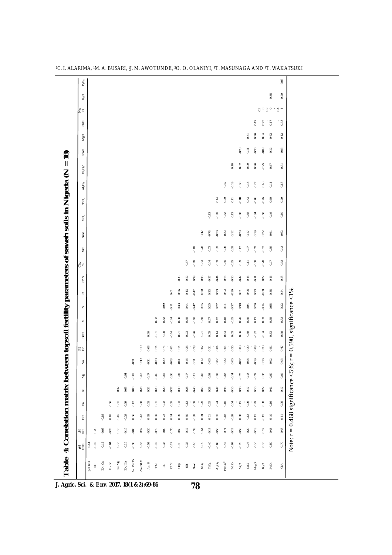| 징<br>玉운                       | 0.44<br>PHKCI | 0.26<br>$-0.42$<br>$\Xi$ | $-0.03$<br>0.42<br>Ex. Ca | $-0.28$<br>0.04<br>Ex.K | 0.15<br>$\!0.53\!$<br>Ex.Mg | $-0.15$<br>0.25<br>Ex. Na | $-0.03$<br>$-0.38$<br>Av. P2O5 | $-0.47$<br>$-0.43$<br>Av. SiO2 | $-0.26$<br>$0.51\,$<br>Av. S | $-0.19$<br>$-0.42$<br>$\mathop{\mathsf{E}}$ | $-0.09$<br>$-0.35$<br>$\overline{\phantom{a}}$ | 0.70<br>0.47<br>$\leq$ | $-0.59$<br>$-0.40$<br>Clay | $-0.12$<br>$-0.37$<br>$\overline{\rm s}$ | 0.39<br>0.46<br>Sand       | 0.54<br>0.09<br>$\rm SiO_2$ | $-0.18$<br>$-0.46$<br>$\Gamma$ iO | $-0.50$<br>$-0.09$<br>$\mathsf{Al}_2\mathsf{O}_3$ | $-0.71$<br>$0.47$<br>$\mathsf{Fe2O_3}^*$ | $-0.17$<br>$0.07$<br>MnO | $-0.53$<br>$-0.29$<br>OpM | $-0.20$<br>0.26<br>CaO | 0.19<br>0.00<br>Na <sub>2</sub> O | 0.17<br>0.63<br>K <sub>2</sub> O | $-0.48$<br>$-0.59$<br>$\mathsf{P}_2\mathsf{O}_5$ | $-0.48$<br>$-0.70$<br>$\stackrel{\triangle}{\scriptscriptstyle\sim}$ |
|-------------------------------|---------------|--------------------------|---------------------------|-------------------------|-----------------------------|---------------------------|--------------------------------|--------------------------------|------------------------------|---------------------------------------------|------------------------------------------------|------------------------|----------------------------|------------------------------------------|----------------------------|-----------------------------|-----------------------------------|---------------------------------------------------|------------------------------------------|--------------------------|---------------------------|------------------------|-----------------------------------|----------------------------------|--------------------------------------------------|----------------------------------------------------------------------|
| $\mathbb{E} \mathbb{C}$       |               |                          | $-0.18$                   | 0.18                    | $-0.15$                     | $-0.29$                   | 0.56                           | $-0.12$                        | 0.62                         | 0.69                                        | 0.73                                           | 0.24                   | 0.09                       | 0.50                                     | $-0.39$                    | 0.04                        | 0.21                              | 0.01                                              | $-0.18$                                  | $-0.39$                  | $0.08\,$                  | $-0.12$                | 0.15                              | $-0.15$                          | 0.40                                             | $\overline{0.11}$                                                    |
| ී                             |               |                          |                           | 0.56                    | $\!0.81\!$                  | 0.69                      | 0.12                           | 0.38                           | 0.02                         | 0.01                                        | 0.02                                           | 0.05                   | 0.03                       | 0.12                                     | 0.09                       | 0.29                        | 0.25                              | 0.24                                              | 0.10                                     | 0.04                     | $\frac{1}{2}$             | 0.06                   | 0.29                              | 0.38                             | 0.16                                             | $0.05\,$                                                             |
| $\boldsymbol{\times}$         |               |                          |                           |                         | 0.47                        | 0.63                      | 0.00                           | 0.28                           | 0.24                         | 0.23                                        | 0.20                                           | $-0.27$                | 0.40                       | 0.28                                     | $-0.40$                    | $-0.55$                     | 0.28                              | 0.47                                              | 0.46                                     | $-0.10$                  | 0.36                      | 0.17                   | 0.10                              | 0.22                             | 0.44                                             | $0.17$                                                               |
| ξg                            |               |                          |                           |                         |                             | 0.64                      | 0.01                           | 0.12                           | 0.17                         | 0.05                                        | $-0.01$                                        | 0.36                   | 0.01                       | $-0.17$                                  | $\overline{0}$ .<br><br>11 | $-0.05$                     | 0.02                              | 0.01                                              | $-0.03$                                  | $-0.14$                  | $-0.22$                   | 0.13                   | $-0.27$                           | 0.33                             | $-0.09$                                          | $-0.09$                                                              |
| $\tilde{z}$                   |               |                          |                           |                         |                             |                           | $-0.21$                        | 0.49                           | $-0.24$                      | $-0.28$                                     | $-0.29$                                        | $-0.03$                | $-0.01$                    | $-0.16$                                  | 0.11                       | $-0.12$                     | 0.06                              | $0.02\,$                                          | 0.32                                     | 0.00                     | $-0.07$                   | $-0.08$                | $-0.19$                           | 0.16                             | $-0.02$                                          | 0.05                                                                 |
| $\approx 5$                   |               |                          |                           |                         |                             |                           |                                | 0.19                           | 0.63                         | 0.74                                        | 0.74                                           | 0.04                   | 0.14                       | 0.23                                     | 0.23                       | 0.07                        | 0.34                              | 0.04                                              | 0.04                                     | 0.25                     | $\!0.03\!$                | 0.30                   | 0.03                              | 0.33                             | 0.54                                             | 0.47                                                                 |
| SiO <sub>2</sub>              |               |                          |                           |                         |                             |                           |                                |                                | 0.20                         | $-0.01$                                     | $-0.08$                                        | $-0.44$                | 0.21                       | 0.23                                     | $-0.26$                    | $-0.21$                     | 0.55                              | 0.14                                              | 0.63                                     | 0.03                     | 0.06                      | $-0.30$                | $-0.32$                           | 0.34                             | 0.53                                             | 0.68                                                                 |
| $\mathcal{S}$                 |               |                          |                           |                         |                             |                           |                                |                                |                              | 0.82                                        | 0.82                                           | $-0.24$                | 0.30                       | 0.35                                     | $-0.40$                    | $-0.40$                     | 0.27                              | 0.42                                              | 0.18                                     | $-0.25$                  | 0.26                      | 0.30                   | 0.13                              | 0.03                             | 0.55                                             | 0.33                                                                 |
| z                             |               |                          |                           |                         |                             |                           |                                |                                |                              |                                             | 0.99                                           | $-0.11$                | 0.33                       | 0.44                                     | $-0.47$                    | $-0.25$                     | 0.25                              | 0.27                                              | 0.11                                     | $-0.27$                  | 0.38                      | 0.04                   | 0.26                              | $-0.14$                          | 0.65                                             | 0.32                                                                 |
| $\circ$                       |               |                          |                           |                         |                             |                           |                                |                                |                              |                                             |                                                | 0.01                   | 0.26                       | 0.43                                     | $-0.42$                    | $-0.20$                     | 0.23                              | 0.23                                              | 0.02                                     | $-0.30$                  | 0.31                      | 0.06                   | 0.23                              | 0.08                             | $0.58\,$                                         | 0.24                                                                 |
| $\leq$                        |               |                          |                           |                         |                             |                           |                                |                                |                              |                                             |                                                |                        | $-0.45$                    | $-0.22$                                  | $\bf0.38$                  | 0.46                        | $-0.27$                           | $-0.44$                                           | $-0.63$                                  | $-0.26$                  | $-0.42$                   | $-0.16$                | $-0.11$                           | 0.22                             | $-0.46$                                          | $-0.53$                                                              |
| day<br>se                     |               |                          |                           |                         |                             |                           |                                |                                |                              |                                             |                                                |                        |                            | 0.37                                     | $-0.78$                    | $-0.53$                     | 0.44                              | 0.63                                              | 0.35                                     | $-0.25$                  | 0.39                      | $-0.11$                | $-0.08$                           | $-0.20$                          | 0.47                                             | 0.63                                                                 |
| $\frac{1}{50}$                |               |                          |                           |                         |                             |                           |                                |                                |                              |                                             |                                                |                        |                            |                                          | $-0.87$                    | $-0.28$                     | 0.73                              | 0.33                                              | 0.06                                     | 0.03                     | 0.12                      | $-0.17$                | $-0.22$                           | $-0.17$                          | 0.59                                             | 0.42                                                                 |
| Sand                          |               |                          |                           |                         |                             |                           |                                |                                |                              |                                             |                                                |                        |                            |                                          |                            | 0.47                        | $-0.73$                           | $-0.56$                                           | $-0.22$                                  | 0.12                     | $-0.29$                   | 0.17                   | 0.19                              | 0.22                             | $-0.64$                                          | $-0.62$                                                              |
| $\widetilde{SO}_2$            |               |                          |                           |                         |                             |                           |                                |                                |                              |                                             |                                                |                        |                            |                                          |                            |                             | $-0.12$                           | $-0.97$                                           | $-0.52$                                  | 0.12                     | $-0.68$                   | $-0.55$                | $-0.34$                           | $-0.50$                          | $-0.46$                                          | $-0.10$                                                              |
| ΤiΟ <sub>2</sub>              |               |                          |                           |                         |                             |                           |                                |                                |                              |                                             |                                                |                        |                            |                                          |                            |                             |                                   | 0.14                                              | 0.29                                     | 0.11                     | $-0.08$                   | $-0.43$                | $-0.61$                           | $-0.45$                          | 0.60                                             | 0.79                                                                 |
| $Al_2O_3$                     |               |                          |                           |                         |                             |                           |                                |                                |                              |                                             |                                                |                        |                            |                                          |                            |                             |                                   |                                                   | 0.37                                     | $-0.19$                  | 0.60                      | 0.48                   | 0.27                              | 0.48                             | 0.41                                             | 0.13                                                                 |
| $\mathsf{Fe}_2\mathsf{O}_3$ * |               |                          |                           |                         |                             |                           |                                |                                |                              |                                             |                                                |                        |                            |                                          |                            |                             |                                   |                                                   |                                          | 0.10                     | 0.67                      | 0.09                   | 0.26                              | $-0.25$                          | 0.67                                             | 0.51                                                                 |
| QuM                           |               |                          |                           |                         |                             |                           |                                |                                |                              |                                             |                                                |                        |                            |                                          |                            |                             |                                   |                                                   |                                          |                          | $-0.23$                   | $\overline{0}$ .11     | $-0.20$                           | $-0.09$                          | $-0.12$                                          | $-0.05$                                                              |
| OpM                           |               |                          |                           |                         |                             |                           |                                |                                |                              |                                             |                                                |                        |                            |                                          |                            |                             |                                   |                                                   |                                          |                          |                           | 0.31                   | 0.76                              | 0.04                             | 0.62                                             | 0.12                                                                 |
| GO                            |               |                          |                           |                         |                             |                           |                                |                                |                              |                                             |                                                |                        |                            |                                          |                            |                             |                                   |                                                   |                                          |                          |                           |                        | 0.47                              | $0.72\,$                         | $\overline{0}$                                   | $0.53\,$                                                             |
| $\frac{a}{2}$ o               |               |                          |                           |                         |                             |                           |                                |                                |                              |                                             |                                                |                        |                            |                                          |                            |                             |                                   |                                                   |                                          |                          |                           |                        |                                   | 3°3°                             |                                                  | $\frac{4}{5}$                                                        |
| $K_2O$                        |               |                          |                           |                         |                             |                           |                                |                                |                              |                                             |                                                |                        |                            |                                          |                            |                             |                                   |                                                   |                                          |                          |                           |                        |                                   |                                  | $-0.38$                                          | $-0.70$                                                              |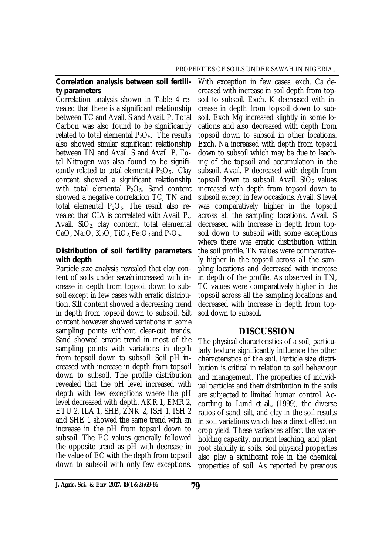### *Correlation analysis between soil fertility parameters*

Correlation analysis shown in Table 4 revealed that there is a significant relationship between TC and Avail. S and Avail. P. Total Carbon was also found to be significantly related to total elemental  $P_2O_5$ . The results also showed similar significant relationship between TN and Avail. S and Avail. P. Total Nitrogen was also found to be significantly related to total elemental  $P_2O_5$ . Clay content showed a significant relationship with total elemental  $P_2O_5$ . Sand content showed a negative correlation TC, TN and total elemental  $P_2O_5$ . The result also revealed that CIA is correlated with Avail. P., Avail.  $SiO<sub>2</sub>$  clay content, total elemental CaO, Na<sub>2</sub>O, K<sub>2</sub>O, TiO<sub>2</sub>, Fe<sub>2</sub>O<sub>3</sub> and P<sub>2</sub>O<sub>5</sub>.

### *Distribution of soil fertility parameters with depth*

Particle size analysis revealed that clay content of soils under *sawah* increased with increase in depth from topsoil down to subsoil except in few cases with erratic distribution. Silt content showed a decreasing trend in depth from topsoil down to subsoil. Silt content however showed variations in some sampling points without clear-cut trends. Sand showed erratic trend in most of the sampling points with variations in depth from topsoil down to subsoil. Soil pH increased with increase in depth from topsoil down to subsoil. The profile distribution revealed that the pH level increased with depth with few exceptions where the pH level decreased with depth. AKR 1, EMR 2, ETU 2, ILA 1, SHB, ZNK 2, ISH 1, ISH 2 and SHE 1 showed the same trend with an increase in the pH from topsoil down to subsoil. The EC values generally followed the opposite trend as pH with decrease in the value of EC with the depth from topsoil down to subsoil with only few exceptions.

With exception in few cases, exch. Ca decreased with increase in soil depth from topsoil to subsoil. Exch. K decreased with increase in depth from topsoil down to subsoil. Exch Mg increased slightly in some locations and also decreased with depth from topsoil down to subsoil in other locations. Exch. Na increased with depth from topsoil down to subsoil which may be due to leaching of the topsoil and accumulation in the subsoil. Avail. P decreased with depth from topsoil down to subsoil. Avail.  $SiO<sub>2</sub>$  values increased with depth from topsoil down to subsoil except in few occasions. Avail. S level was comparatively higher in the topsoil across all the sampling locations. Avail. S decreased with increase in depth from topsoil down to subsoil with some exceptions where there was erratic distribution within the soil profile. TN values were comparatively higher in the topsoil across all the sampling locations and decreased with increase in depth of the profile. As observed in TN, TC values were comparatively higher in the topsoil across all the sampling locations and decreased with increase in depth from topsoil down to subsoil.

# **DISCUSSION**

The physical characteristics of a soil, particularly texture significantly influence the other characteristics of the soil. Particle size distribution is critical in relation to soil behaviour and management. The properties of individual particles and their distribution in the soils are subjected to limited human control. According to Lund *et al.,* (1999), the diverse ratios of sand, silt, and clay in the soil results in soil variations which has a direct effect on crop yield. These variances affect the waterholding capacity, nutrient leaching, and plant root stability in soils. Soil physical properties also play a significant role in the chemical properties of soil. As reported by previous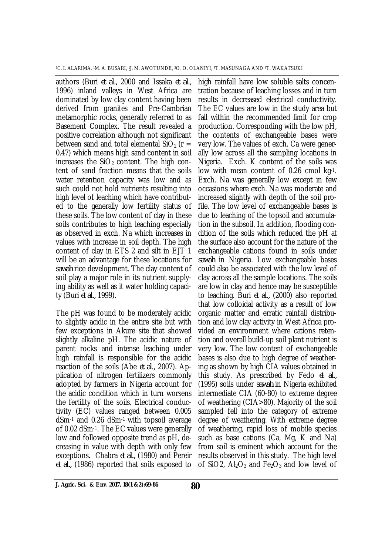authors (Buri *et al.,* 2000 and Issaka *et al.,* 1996) inland valleys in West Africa are dominated by low clay content having been derived from granites and Pre-Cambrian metamorphic rocks, generally referred to as Basement Complex. The result revealed a positive correlation although not significant between sand and total elemental  $SiO<sub>2</sub>$  (r = 0.47) which means high sand content in soil increases the  $SiO<sub>2</sub>$  content. The high content of sand fraction means that the soils water retention capacity was low and as such could not hold nutrients resulting into high level of leaching which have contributed to the generally low fertility status of these soils. The low content of clay in these soils contributes to high leaching especially as observed in exch. Na which increases in values with increase in soil depth. The high content of clay in ETS 2 and silt in EJT 1 will be an advantage for these locations for *sawah* rice development. The clay content of soil play a major role in its nutrient supplying ability as well as it water holding capacity (Buri *et al.,* 1999).

The pH was found to be moderately acidic to slightly acidic in the entire site but with few exceptions in Akure site that showed slightly alkaline pH. The acidic nature of parent rocks and intense leaching under high rainfall is responsible for the acidic reaction of the soils (Abe *et al.,* 2007). Application of nitrogen fertilizers commonly adopted by farmers in Nigeria account for the acidic condition which in turn worsens the fertility of the soils. Electrical conductivity (EC) values ranged between 0.005 dSm-1 and 0.26 dSm-1 with topsoil average of 0.02 dSm-1. The EC values were generally low and followed opposite trend as pH, decreasing in value with depth with only few exceptions. Chabra *et al.,* (1980) and Pereir *et al.,* (1986) reported that soils exposed to

high rainfall have low soluble salts concentration because of leaching losses and in turn results in decreased electrical conductivity. The EC values are low in the study area but fall within the recommended limit for crop production. Corresponding with the low pH, the contents of exchangeable bases were very low. The values of exch. Ca were generally low across all the sampling locations in Nigeria. Exch. K content of the soils was low with mean content of 0.26 cmol kg-1. Exch. Na was generally low except in few occasions where exch. Na was moderate and increased slightly with depth of the soil profile. The low level of exchangeable bases is due to leaching of the topsoil and accumulation in the subsoil. In addition, flooding condition of the soils which reduced the pH at the surface also account for the nature of the exchangeable cations found in soils under *sawah* in Nigeria. Low exchangeable bases could also be associated with the low level of clay across all the sample locations. The soils are low in clay and hence may be susceptible to leaching. Buri *et al.,* (2000) also reported that low colloidal activity as a result of low organic matter and erratic rainfall distribution and low clay activity in West Africa provided an environment where cations retention and overall build-up soil plant nutrient is very low. The low content of exchangeable bases is also due to high degree of weathering as shown by high CIA values obtained in this study. As prescribed by Fedo *et al.,* (1995) soils under *sawah* in Nigeria exhibited intermediate CIA (60-80) to extreme degree of weathering (CIA>80). Majority of the soil sampled fell into the category of extreme degree of weathering. With extreme degree of weathering, rapid loss of mobile species such as base cations (Ca, Mg, K and Na) from soil is eminent which account for the results observed in this study. The high level of SiO2,  $Al_2O_3$  and  $Fe_2O_3$  and low level of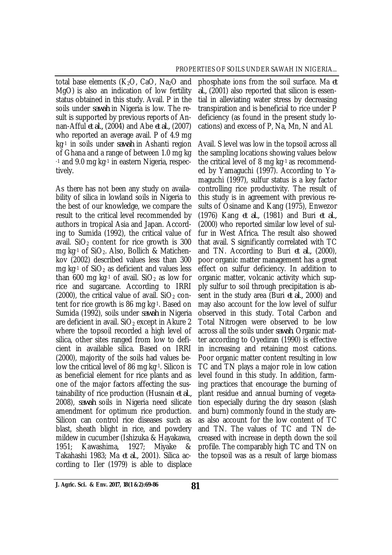total base elements  $(K_2O, CaO, Na_2O, and$ MgO) is also an indication of low fertility status obtained in this study. Avail. P in the soils under *sawah* in Nigeria is low. The result is supported by previous reports of Annan-Afful *et al.,* (2004) and Abe *et al.,* (2007) who reported an average avail. P of 4.9 mg kg-1 in soils under *sawah* in Ashanti region of Ghana and a range of between 1.0 mg kg -1 and 9.0 mg kg-1 in eastern Nigeria, respectively.

As there has not been any study on availability of silica in lowland soils in Nigeria to the best of our knowledge, we compare the result to the critical level recommended by authors in tropical Asia and Japan. According to Sumida (1992), the critical value of avail.  $SiO<sub>2</sub>$  content for rice growth is 300 mg kg-1 of SiO<sub>2</sub>. Also, Bollich & Matichenkov (2002) described values less than 300 mg kg $-1$  of SiO<sub>2</sub> as deficient and values less than 600 mg kg-1 of avail.  $SiO<sub>2</sub>$  as low for rice and sugarcane. According to IRRI (2000), the critical value of avail.  $SiO<sub>2</sub>$  content for rice growth is 86 mg kg-1. Based on Sumida (1992), soils under *sawah* in Nigeria are deficient in avail.  $SiO<sub>2</sub>$  except in Akure 2 where the topsoil recorded a high level of silica, other sites ranged from low to deficient in available silica. Based on IRRI (2000), majority of the soils had values below the critical level of 86 mg kg-1. Silicon is as beneficial element for rice plants and as one of the major factors affecting the sustainability of rice production (Husnain *et al.,* 2008), *sawah* soils in Nigeria need silicate amendment for optimum rice production. Silicon can control rice diseases such as blast, sheath blight in rice, and powdery mildew in cucumber (Ishizuka & Hayakawa, 1951; Kawashima, 1927; Miyake & Takahashi 1983; Ma *et al.,* 2001). Silica according to Iler (1979) is able to displace

phosphate ions from the soil surface. Ma *et al.,* (2001) also reported that silicon is essential in alleviating water stress by decreasing transpiration and is beneficial to rice under P deficiency (as found in the present study locations) and excess of P, Na, Mn, N and Al.

Avail. S level was low in the topsoil across all the sampling locations showing values below the critical level of 8 mg kg-1 as recommended by Yamaguchi (1997). According to Yamaguchi (1997), sulfur status is a key factor controlling rice productivity. The result of this study is in agreement with previous results of Osiname and Kang (1975), Enwezor (1976) Kang *et al.,* (1981) and Buri *et al.,* (2000) who reported similar low level of sulfur in West Africa. The result also showed that avail. S significantly correlated with TC and TN. According to Buri *et al.,* (2000), poor organic matter management has a great effect on sulfur deficiency. In addition to organic matter, volcanic activity which supply sulfur to soil through precipitation is absent in the study area (Buri *et al.,* 2000) and may also account for the low level of sulfur observed in this study. Total Carbon and Total Nitrogen were observed to be low across all the soils under *sawah*. Organic matter according to Oyediran (1990) is effective in increasing and retaining most cations. Poor organic matter content resulting in low TC and TN plays a major role in low cation level found in this study. In addition, farming practices that encourage the burning of plant residue and annual burning of vegetation especially during the dry season (slash and burn) commonly found in the study areas also account for the low content of TC and TN. The values of TC and TN decreased with increase in depth down the soil profile. The comparably high TC and TN on the topsoil was as a result of large biomass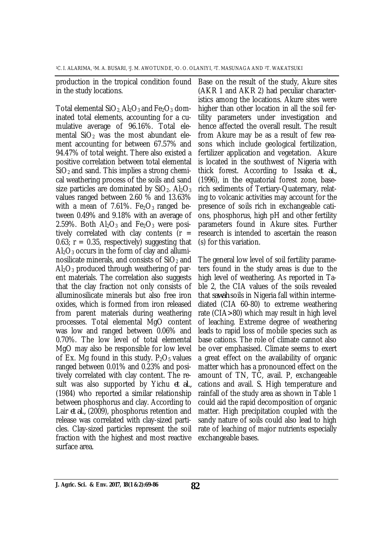production in the tropical condition found in the study locations.

Total elemental  $SiO<sub>2</sub>$  Al<sub>2</sub>O<sub>3</sub> and Fe<sub>2</sub>O<sub>3</sub> dominated total elements, accounting for a cumulative average of 96.16%. Total elemental  $SiO<sub>2</sub>$  was the most abundant element accounting for between 67.57% and 94.47% of total weight. There also existed a positive correlation between total elemental  $SiO<sub>2</sub>$  and sand. This implies a strong chemical weathering process of the soils and sand size particles are dominated by  $SiO<sub>2</sub>$ . Al<sub>2</sub>O<sub>3</sub> values ranged between 2.60 % and 13.63% with a mean of 7.61%.  $Fe<sub>2</sub>O<sub>3</sub>$  ranged between 0.49% and 9.18% with an average of 2.59%. Both  $Al_2O_3$  and  $Fe_2O_3$  were positively correlated with clay contents ( $r =$ 0.63;  $r = 0.35$ , respectively) suggesting that  $Al_2O_3$  occurs in the form of clay and alluminosilicate minerals, and consists of  $SiO<sub>2</sub>$  and  $Al_2O_3$  produced through weathering of parent materials. The correlation also suggests that the clay fraction not only consists of alluminosilicate minerals but also free iron oxides, which is formed from iron released from parent materials during weathering processes. Total elemental MgO content was low and ranged between 0.06% and 0.70%. The low level of total elemental MgO may also be responsible for low level of Ex. Mg found in this study.  $P_2O_5$  values ranged between 0.01% and 0.23% and positively correlated with clay content. The result was also supported by Yichu *et al.,* (1984) who reported a similar relationship between phosphorus and clay. According to Lair *et al.,* (2009), phosphorus retention and release was correlated with clay-sized particles. Clay-sized particles represent the soil fraction with the highest and most reactive surface area.

Base on the result of the study, Akure sites (AKR 1 and AKR 2) had peculiar characteristics among the locations. Akure sites were higher than other location in all the soil fertility parameters under investigation and hence affected the overall result. The result from Akure may be as a result of few reasons which include geological fertilization, fertilizer application and vegetation. Akure is located in the southwest of Nigeria with thick forest. According to Issaka *et al.,* (1996), in the equatorial forest zone, baserich sediments of Tertiary-Quaternary, relating to volcanic activities may account for the presence of soils rich in exchangeable cations, phosphorus, high pH and other fertility parameters found in Akure sites. Further research is intended to ascertain the reason (s) for this variation.

The general low level of soil fertility parameters found in the study areas is due to the high level of weathering. As reported in Table 2, the CIA values of the soils revealed that *sawah* soils in Nigeria fall within intermediated (CIA 60-80) to extreme weathering rate (CIA>80) which may result in high level of leaching. Extreme degree of weathering leads to rapid loss of mobile species such as base cations. The role of climate cannot also be over emphasised. Climate seems to exert a great effect on the availability of organic matter which has a pronounced effect on the amount of TN, TC, avail. P, exchangeable cations and avail. S. High temperature and rainfall of the study area as shown in Table 1 could aid the rapid decomposition of organic matter. High precipitation coupled with the sandy nature of soils could also lead to high rate of leaching of major nutrients especially exchangeable bases.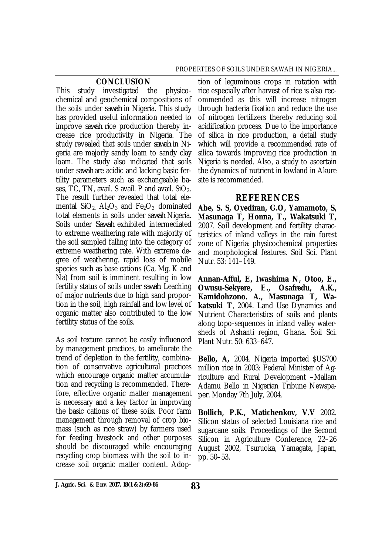#### **CONCLUSION**

This study investigated the physicochemical and geochemical compositions of the soils under *sawah* in Nigeria. This study has provided useful information needed to improve *sawah* rice production thereby increase rice productivity in Nigeria. The study revealed that soils under *sawah* in Nigeria are majorly sandy loam to sandy clay loam. The study also indicated that soils under *sawah* are acidic and lacking basic fertility parameters such as exchangeable bases, TC, TN, avail. S avail. P and avail.  $SiO<sub>2</sub>$ . The result further revealed that total elemental  $SiO<sub>2</sub>$  Al<sub>2</sub>O<sub>3</sub> and Fe<sub>2</sub>O<sub>3</sub> dominated total elements in soils under *sawah* Nigeria. Soils under *Sawah* exhibited intermediated to extreme weathering rate with majority of the soil sampled falling into the category of extreme weathering rate. With extreme degree of weathering, rapid loss of mobile species such as base cations (Ca, Mg, K and Na) from soil is imminent resulting in low fertility status of soils under *sawah*. Leaching of major nutrients due to high sand proportion in the soil, high rainfall and low level of organic matter also contributed to the low fertility status of the soils.

As soil texture cannot be easily influenced by management practices, to ameliorate the trend of depletion in the fertility, combination of conservative agricultural practices which encourage organic matter accumulation and recycling is recommended. Therefore, effective organic matter management is necessary and a key factor in improving the basic cations of these soils. Poor farm management through removal of crop biomass (such as rice straw) by farmers used for feeding livestock and other purposes should be discouraged while encouraging recycling crop biomass with the soil to increase soil organic matter content. Adop-

tion of leguminous crops in rotation with rice especially after harvest of rice is also recommended as this will increase nitrogen through bacteria fixation and reduce the use of nitrogen fertilizers thereby reducing soil acidification process. Due to the importance of silica in rice production, a detail study which will provide a recommended rate of silica towards improving rice production in Nigeria is needed. Also, a study to ascertain the dynamics of nutrient in lowland in Akure site is recommended.

# **REFERENCES**

**Abe, S. S, Oyediran, G.O, Yamamoto, S, Masunaga T, Honna, T., Wakatsuki T,**  2007. Soil development and fertility characteristics of inland valleys in the rain forest zone of Nigeria: physicochemical properties and morphological features. Soil Sci. Plant Nutr. 53: 141–149.

**Annan-Afful, E, Iwashima N, Otoo, E., Owusu-Sekyere, E., Osafredu, A.K., Kamidohzono. A., Masunaga T, Wakatsuki T**, 2004. Land Use Dynamics and Nutrient Characteristics of soils and plants along topo-sequences in inland valley watersheds of Ashanti region, Ghana. Soil Sci. Plant Nutr. 50: 633–647.

**Bello, A,** 2004. Nigeria imported \$US700 million rice in 2003: Federal Minister of Agriculture and Rural Development –Mallam Adamu Bello in Nigerian Tribune Newspaper. Monday 7th July, 2004.

**Bollich, P.K., Matichenkov, V.V** 2002. Silicon status of selected Louisiana rice and sugarcane soils. Proceedings of the Second Silicon in Agriculture Conference, 22–26 August 2002, Tsuruoka, Yamagata, Japan, pp. 50–53.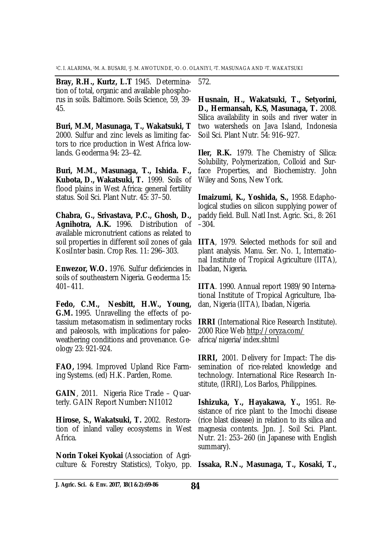**Bray, R.H., Kurtz, L.T** 1945. Determination of total, organic and available phosphorus in soils. Baltimore. Soils Science, 59, 39- 45.

**Buri, M.M, Masunaga, T., Wakatsuki, T**  2000. Sulfur and zinc levels as limiting factors to rice production in West Africa lowlands. Geoderma 94: 23–42.

**Buri, M.M., Masunaga, T., Ishida. F., Kubota, D., Wakatsuki, T.** 1999. Soils of flood plains in West Africa: general fertility status. Soil Sci. Plant Nutr. 45: 37–50.

**Chabra, G., Srivastava, P.C., Ghosh, D., Agnihotra, A.K.** 1996. Distribution of available micronutrient cations as related to soil properties in different soil zones of gala KosiInter basin. Crop Res. 11: 296–303.

**Enwezor, W.O.** 1976. Sulfur deficiencies in soils of southeastern Nigeria. Geoderma 15: 401–411.

**Fedo, C.M., Nesbitt, H.W., Young, G.M.** 1995. Unravelling the effects of potassium metasomatism in sedimentary rocks and paleosols, with implications for paleoweathering conditions and provenance. Geology 23: 921-924.

**FAO,** 1994. Improved Upland Rice Farming Systems. (ed) H.K. Parden, Rome.

**GAIN**, 2011. Nigeria Rice Trade – Quarterly. GAIN Report Number**:** NI1012

**Hirose, S., Wakatsuki, T.** 2002. Restoration of inland valley ecosystems in West Africa.

**Norin Tokei Kyokai** (Association of Agriculture & Forestry Statistics), Tokyo, pp. 572.

**Husnain, H., Wakatsuki, T., Setyorini, D., Hermansah, K.S, Masunaga, T.** 2008. Silica availability in soils and river water in two watersheds on Java Island, Indonesia Soil Sci. Plant Nutr. 54: 916–927.

**Iler, R.K.** 1979. The Chemistry of Silica: Solubility, Polymerization, Colloid and Surface Properties, and Biochemistry. John Wiley and Sons, New York.

**Imaizumi, K., Yoshida, S.,** 1958. Edaphological studies on silicon supplying power of paddy field. Bull. Natl Inst. Agric. Sci., 8: 261 –304.

**IITA**, 1979. Selected methods for soil and plant analysis. Manu. Ser. No. 1, International Institute of Tropical Agriculture (IITA), Ibadan, Nigeria.

**IITA**. 1990. Annual report 1989/90 International Institute of Tropical Agriculture, Ibadan, Nigeria (IITA), Ibadan, Nigeria.

**IRRI** (International Rice Research Institute). 2000 Rice Web<http://oryza.com/> africa/nigeria/index.shtml

**IRRI,** 2001. Delivery for Impact: The dissemination of rice-related knowledge and technology. International Rice Research Institute, (IRRI), Los Barlos, Philippines.

**Ishizuka, Y., Hayakawa, Y.,** 1951. Resistance of rice plant to the Imochi disease (rice blast disease) in relation to its silica and magnesia contents. Jpn. J. Soil Sci. Plant. Nutr. 21: 253–260 (in Japanese with English summary).

**Issaka, R.N., Masunaga, T., Kosaki, T.,**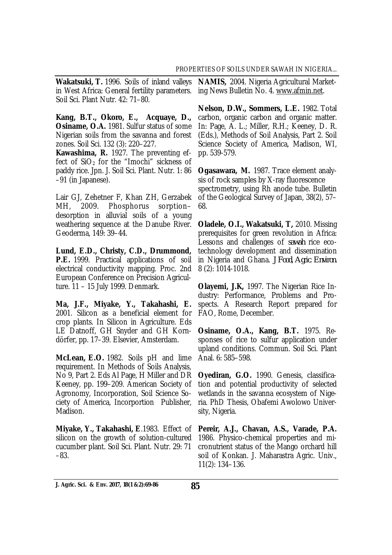in West Africa: General fertility parameters. Soil Sci. Plant Nutr. 42: 71–80.

**Kang, B.T., Okoro, E., Acquaye, D., Osiname, O.A.** 1981. Sulfur status of some Nigerian soils from the savanna and forest zones. Soil Sci. 132 (3): 220–227.

**Kawashima, R.** 1927. The preventing effect of  $SiO<sub>2</sub>$  for the "Imochi" sickness of paddy rice. Jpn. J. Soil Sci. Plant. Nutr. 1: 86 –91 (in Japanese).

Lair GJ, Zehetner F, Khan ZH, Gerzabek MH, 2009. Phosphorus sorption– desorption in alluvial soils of a young weathering sequence at the Danube River. Geoderma, 149: 39–44.

**Lund, E.D., Christy, C.D., Drummond, P.E.** 1999. Practical applications of soil electrical conductivity mapping. Proc. 2nd European Conference on Precision Agriculture. 11 – 15 July 1999. Denmark.

**Ma, J.F., Miyake, Y., Takahashi, E.**  2001. Silicon as a beneficial element for crop plants. In Silicon in Agriculture. Eds LE Datnoff, GH Snyder and GH Korndörfer, pp. 17–39. Elsevier, Amsterdam.

**McLean, E.O.** 1982. Soils pH and lime requirement. In Methods of Soils Analysis, No 9, Part 2. Eds Al Page, H Miller and DR Keeney, pp. 199–209. American Society of Agronomy, Incorporation, Soil Science Society of America, Incorportion Publisher, Madison.

**Miyake, Y., Takahashi, E**.1983. Effect of silicon on the growth of solution-cultured cucumber plant. Soil Sci. Plant. Nutr. 29: 71 –83.

**Wakatsuki, T.** 1996. Soils of inland valleys **NAMIS,** 2004. Nigeria Agricultural Marketing News Bulletin No. 4. [www.afmin.net.](http://www.afmin.net.)

> **Nelson, D.W., Sommers, L.E.** 1982. Total carbon, organic carbon and organic matter. In: Page, A. L.; Miller, R.H.; Keeney, D. R. (Eds.), Methods of Soil Analysis, Part 2. Soil Science Society of America, Madison, WI, pp. 539-579.

> **Ogasawara, M.** 1987. Trace element analysis of rock samples by X-ray fluorescence spectrometry, using Rh anode tube. Bulletin of the Geological Survey of Japan, 38(2), 57– 68.

> **Oladele, O.I., Wakatsuki, T,** 2010. Missing prerequisites for green revolution in Africa: Lessons and challenges of *sawah* rice ecotechnology development and dissemination in Nigeria and Ghana. *J Food, Agric. Environ.*  8 (2): 1014-1018.

> **Olayemi, J.K,** 1997. The Nigerian Rice Industry: Performance, Problems and Prospects. A Research Report prepared for FAO, Rome, December.

> **Osiname, O.A., Kang, B.T.** 1975. Responses of rice to sulfur application under upland conditions. Commun. Soil Sci. Plant Anal. 6: 585–598.

> **Oyediran, G.O.** 1990. Genesis, classification and potential productivity of selected wetlands in the savanna ecosystem of Nigeria. PhD Thesis, Obafemi Awolowo University, Nigeria.

> **Pereir, A.J., Chavan, A.S., Varade, P.A.**  1986. Physico-chemical properties and micronutrient status of the Mango orchard hill soil of Konkan. J. Maharastra Agric. Univ., 11(2): 134–136.